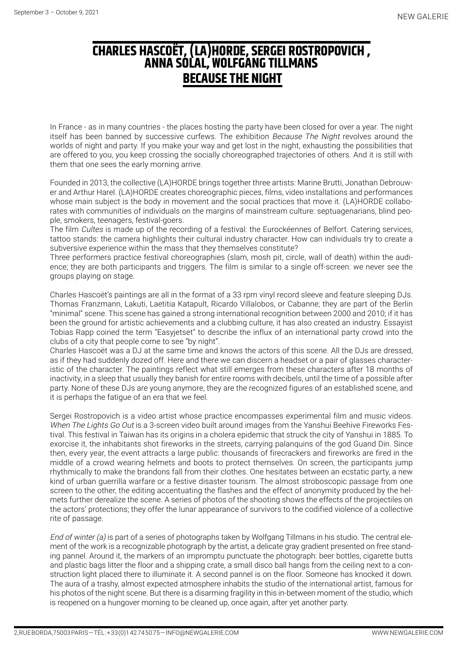## **Charles hascoët, (la)horde, sergei rostropovich , Anna solal, wolfgang tillmans Because the night**

In France - as in many countries - the places hosting the party have been closed for over a year. The night itself has been banned by successive curfews. The exhibition Because The Night revolves around the worlds of night and party. If you make your way and get lost in the night, exhausting the possibilities that are offered to you, you keep crossing the socially choreographed trajectories of others. And it is still with them that one sees the early morning arrive.

Founded in 2013, the collective (LA)HORDE brings together three artists: Marine Brutti, Jonathan Debrouwer and Arthur Harel. (LA)HORDE creates choreographic pieces, films, video installations and performances whose main subject is the body in movement and the social practices that move it. (LA)HORDE collaborates with communities of individuals on the margins of mainstream culture: septuagenarians, blind people, smokers, teenagers, festival-goers.

The film Cultes is made up of the recording of a festival: the Eurockéennes of Belfort. Catering services, tattoo stands: the camera highlights their cultural industry character. How can individuals try to create a subversive experience within the mass that they themselves constitute?

Three performers practice festival choreographies (slam, mosh pit, circle, wall of death) within the audience; they are both participants and triggers. The film is similar to a single off-screen: we never see the groups playing on stage.

Charles Hascoët's paintings are all in the format of a 33 rpm vinyl record sleeve and feature sleeping DJs. Thomas Franzmann, Lakuti, Laetitia Katapult, Ricardo Villalobos, or Cabanne; they are part of the Berlin "minimal" scene. This scene has gained a strong international recognition between 2000 and 2010; if it has been the ground for artistic achievements and a clubbing culture, it has also created an industry. Essayist Tobias Rapp coined the term "Easyjetset" to describe the influx of an international party crowd into the clubs of a city that people come to see "by night".

Charles Hascoët was a DJ at the same time and knows the actors of this scene. All the DJs are dressed, as if they had suddenly dozed off. Here and there we can discern a headset or a pair of glasses characteristic of the character. The paintings reflect what still emerges from these characters after 18 months of inactivity, in a sleep that usually they banish for entire rooms with decibels, until the time of a possible after party. None of these DJs are young anymore, they are the recognized figures of an established scene, and it is perhaps the fatigue of an era that we feel.

Sergei Rostropovich is a video artist whose practice encompasses experimental film and music videos. When The Lights Go Out is a 3-screen video built around images from the Yanshui Beehive Fireworks Festival. This festival in Taiwan has its origins in a cholera epidemic that struck the city of Yanshui in 1885. To exorcise it, the inhabitants shot fireworks in the streets, carrying palanquins of the god Guand Din. Since then, every year, the event attracts a large public: thousands of firecrackers and fireworks are fired in the middle of a crowd wearing helmets and boots to protect themselves. On screen, the participants jump rhythmically to make the brandons fall from their clothes. One hesitates between an ecstatic party, a new kind of urban guerrilla warfare or a festive disaster tourism. The almost stroboscopic passage from one screen to the other, the editing accentuating the flashes and the effect of anonymity produced by the helmets further derealize the scene. A series of photos of the shooting shows the effects of the projectiles on the actors' protections; they offer the lunar appearance of survivors to the codified violence of a collective rite of passage.

End of winter (a) is part of a series of photographs taken by Wolfgang Tillmans in his studio. The central element of the work is a recognizable photograph by the artist, a delicate gray gradient presented on free standing pannel. Around it, the markers of an impromptu punctuate the photograph: beer bottles, cigarette butts and plastic bags litter the floor and a shipping crate, a small disco ball hangs from the ceiling next to a construction light placed there to illuminate it. A second pannel is on the floor. Someone has knocked it down. The aura of a trashy, almost expected atmosphere inhabits the studio of the international artist, famous for his photos of the night scene. But there is a disarming fragility in this in-between moment of the studio, which is reopened on a hungover morning to be cleaned up, once again, after yet another party.